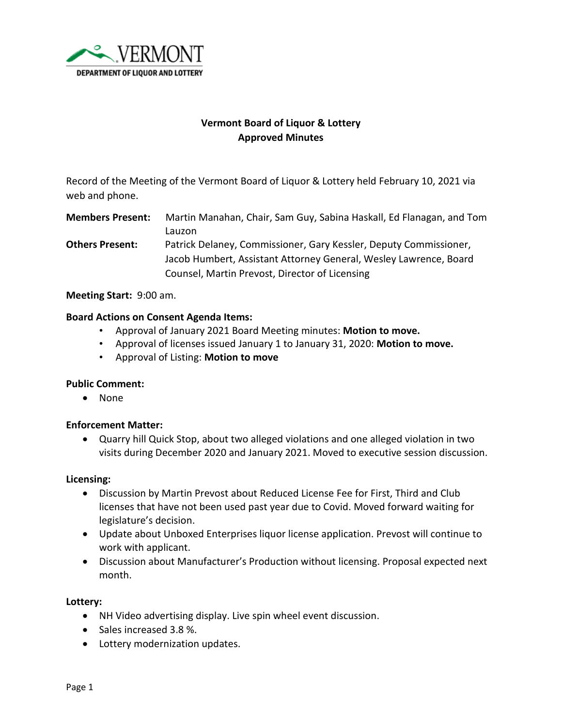

# **Vermont Board of Liquor & Lottery Approved Minutes**

Record of the Meeting of the Vermont Board of Liquor & Lottery held February 10, 2021 via web and phone.

**Members Present:** Martin Manahan, Chair, Sam Guy, Sabina Haskall, Ed Flanagan, and Tom Lauzon

**Others Present:** Patrick Delaney, Commissioner, Gary Kessler, Deputy Commissioner, Jacob Humbert, Assistant Attorney General, Wesley Lawrence, Board Counsel, Martin Prevost, Director of Licensing

**Meeting Start:** 9:00 am.

### **Board Actions on Consent Agenda Items:**

- Approval of January 2021 Board Meeting minutes: **Motion to move.**
- Approval of licenses issued January 1 to January 31, 2020: **Motion to move.**
- Approval of Listing: **Motion to move**

#### **Public Comment:**

• None

#### **Enforcement Matter:**

• Quarry hill Quick Stop, about two alleged violations and one alleged violation in two visits during December 2020 and January 2021. Moved to executive session discussion.

#### **Licensing:**

- Discussion by Martin Prevost about Reduced License Fee for First, Third and Club licenses that have not been used past year due to Covid. Moved forward waiting for legislature's decision.
- Update about Unboxed Enterprises liquor license application. Prevost will continue to work with applicant.
- Discussion about Manufacturer's Production without licensing. Proposal expected next month.

#### **Lottery:**

- NH Video advertising display. Live spin wheel event discussion.
- Sales increased 3.8 %.
- Lottery modernization updates.